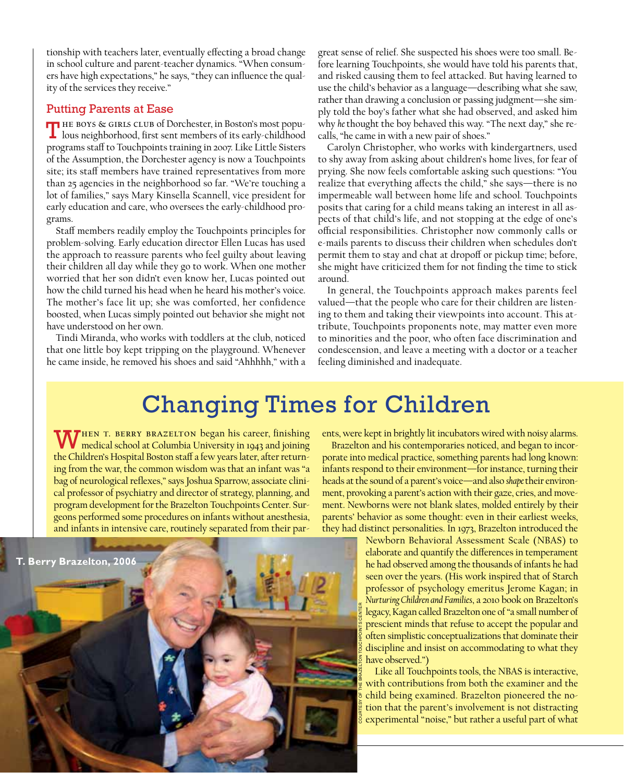tionship with teachers later, eventually effecting a broad change in school culture and parent-teacher dynamics. "When consumers have high expectations," he says, "they can influence the quality of the services they receive."

## Putting Parents at Ease

The boys & girls club of Dorchester, in Boston's most populous neighborhood, first sent members of its early-childhood programs staff to Touchpoints training in 2007. Like Little Sisters of the Assumption, the Dorchester agency is now a Touchpoints site; its staff members have trained representatives from more than 25 agencies in the neighborhood so far. "We're touching a lot of families," says Mary Kinsella Scannell, vice president for early education and care, who oversees the early-childhood programs.

Staff members readily employ the Touchpoints principles for problem-solving. Early education director Ellen Lucas has used the approach to reassure parents who feel guilty about leaving their children all day while they go to work. When one mother worried that her son didn't even know her, Lucas pointed out how the child turned his head when he heard his mother's voice. The mother's face lit up; she was comforted, her confidence boosted, when Lucas simply pointed out behavior she might not have understood on her own.

Tindi Miranda, who works with toddlers at the club, noticed that one little boy kept tripping on the playground. Whenever he came inside, he removed his shoes and said "Ahhhhh," with a

great sense of relief. She suspected his shoes were too small. Before learning Touchpoints, she would have told his parents that, and risked causing them to feel attacked. But having learned to use the child's behavior as a language—describing what she saw, rather than drawing a conclusion or passing judgment—she simply told the boy's father what she had observed, and asked him why *he* thought the boy behaved this way. "The next day," she recalls, "he came in with a new pair of shoes."

Carolyn Christopher, who works with kindergartners, used to shy away from asking about children's home lives, for fear of prying. She now feels comfortable asking such questions: "You realize that everything affects the child," she says—there is no impermeable wall between home life and school. Touchpoints posits that caring for a child means taking an interest in all aspects of that child's life, and not stopping at the edge of one's official responsibilities. Christopher now commonly calls or e-mails parents to discuss their children when schedules don't permit them to stay and chat at dropoff or pickup time; before, she might have criticized them for not finding the time to stick around.

In general, the Touchpoints approach makes parents feel valued—that the people who care for their children are listening to them and taking their viewpoints into account. This attribute, Touchpoints proponents note, may matter even more to minorities and the poor, who often face discrimination and condescension, and leave a meeting with a doctor or a teacher feeling diminished and inadequate.

## Changing Times for Children

WHEN T. BERRY BRAZELTON began his career, finishing<br>medical school at Columbia University in 1943 and joining the Children's Hospital Boston staff a few years later, after returning from the war, the common wisdom was that an infant was "a bag of neurological reflexes," says Joshua Sparrow, associate clinical professor of psychiatry and director of strategy, planning, and program development for the Brazelton Touchpoints Center. Surgeons performed some procedures on infants without anesthesia, and infants in intensive care, routinely separated from their par-



ents, were kept in brightly lit incubators wired with noisy alarms.

Brazelton and his contemporaries noticed, and began to incorporate into medical practice, something parents had long known: infants respond to their environment—for instance, turning their heads at the sound of a parent's voice—and also *shape* their environment, provoking a parent's action with their gaze, cries, and movement. Newborns were not blank slates, molded entirely by their parents' behavior as some thought: even in their earliest weeks, they had distinct personalities. In 1973, Brazelton introduced the

> Newborn Behavioral Assessment Scale (NBAS) to elaborate and quantify the differences in temperament he had observed among the thousands of infants he had seen over the years. (His work inspired that of Starch professor of psychology emeritus Jerome Kagan; in *Nurturing Children and Families*, a 2010 book on Brazelton's legacy, Kagan called Brazelton one of "a small number of prescient minds that refuse to accept the popular and often simplistic conceptualizations that dominate their discipline and insist on accommodating to what they have observed.")

> Like all Touchpoints tools, the NBAS is interactive, with contributions from both the examiner and the child being examined. Brazelton pioneered the notion that the parent's involvement is not distracting experimental "noise," but rather a useful part of what